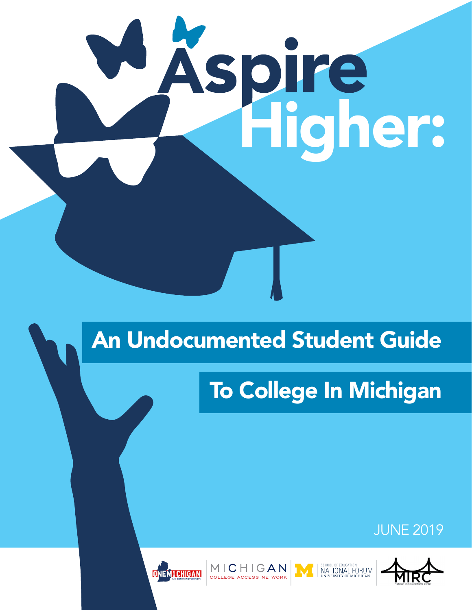# Higher: A

# An Undocumented Student Guide

# To College In Michigan

### JUNE 2019





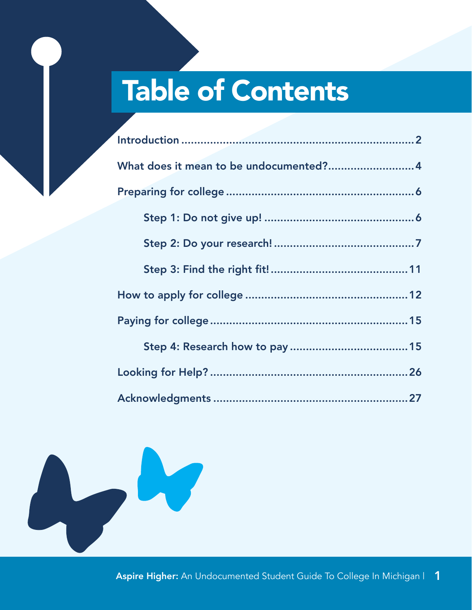# Table of Contents

| What does it mean to be undocumented?4 |
|----------------------------------------|
|                                        |
|                                        |
|                                        |
|                                        |
|                                        |
|                                        |
|                                        |
|                                        |
|                                        |

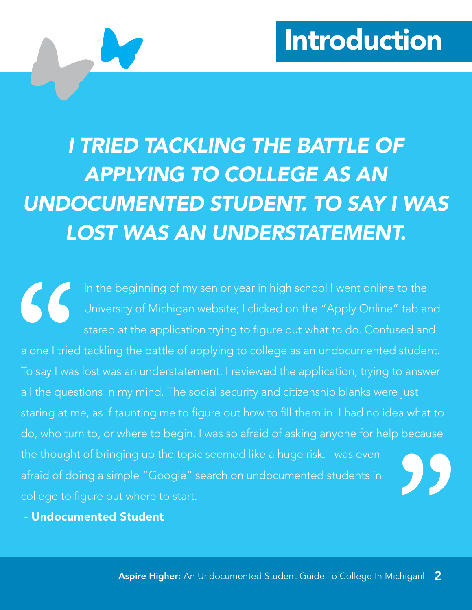# Introduction

# <span id="page-2-0"></span>*I TRIED TACKLING THE BATTLE OF APPLYING TO COLLEGE AS AN UNDOCUMENTED STUDENT. TO SAY I WAS LOST WAS AN UNDERSTATEMENT.*

In the beginning of my senior year in high school I went online to the University of Michigan website; I clicked on the "Apply Online" tab and stared at the application trying to figure out what to do. Confused and alone I tried tackling the battle of applying to college as an undocumented student. To say I was lost was an understatement. I reviewed the application, trying to answer all the questions in my mind. The social security and citizenship blanks were just staring at me, as if taunting me to figure out how to fill them in. I had no idea what to do, who turn to, or where to begin. I was so afraid of asking anyone for help because the thought of bringing up the topic seemed like a huge risk. I was even afraid of doing a simple "Google" search on undocumented students in college to figure out where to start.

- Undocumented Student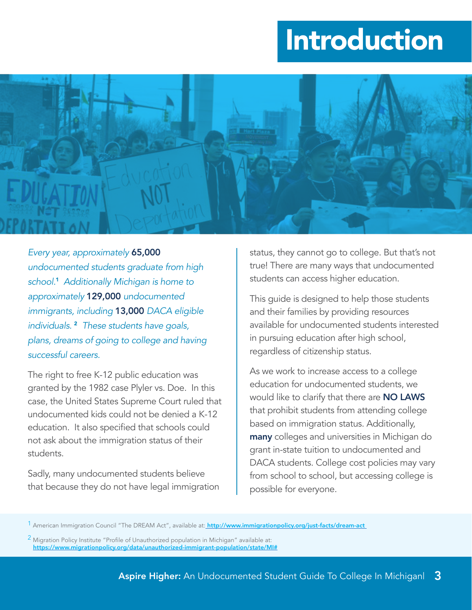# Introduction



*Every year, approximately* 65,000 *undocumented students graduate from high school.*1 *Additionally Michigan is home to approximately* 129,000 *undocumented immigrants, including* 13,000 *DACA eligible individuals.* 2 *These students have goals, plans, dreams of going to college and having successful careers.* 

The right to free K-12 public education was granted by the 1982 case Plyler vs. Doe. In this case, the United States Supreme Court ruled that undocumented kids could not be denied a K-12 education. It also specified that schools could not ask about the immigration status of their students.

Sadly, many undocumented students believe that because they do not have legal immigration status, they cannot go to college. But that's not true! There are many ways that undocumented students can access higher education.

This guide is designed to help those students and their families by providing resources available for undocumented students interested in pursuing education after high school, regardless of citizenship status.

As we work to increase access to a college education for undocumented students, we would like to clarify that there are NO LAWS that prohibit students from attending college based on immigration status. Additionally, many colleges and universities in Michigan do grant in-state tuition to undocumented and DACA students. College cost policies may vary from school to school, but accessing college is possible for everyone.

<sup>2</sup> Migration Policy Institute "Profile of Unauthorized population in Michigan" available at: h<ttps://www.migrationpolicy.org/data/unauthorized-immigrant-population/state/MI#>

<sup>&</sup>lt;sup>1</sup> American Immigration Council "The DREAM Act", available at: <mark>http://www.immigrationpolicy.org/just-facts/dream-act</mark>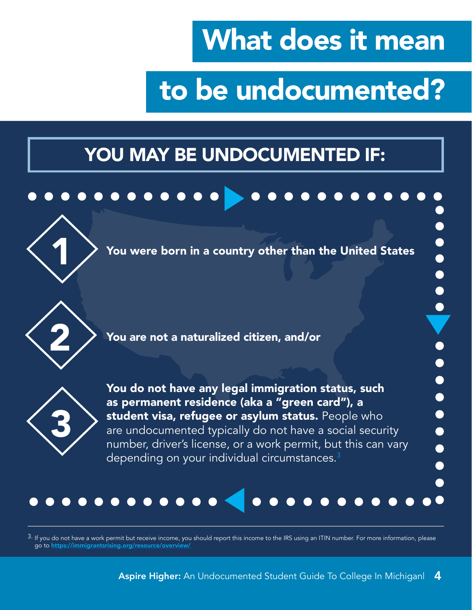# What does it mean

 $\bullet$ 

 $\bullet$ 

 $\bullet$ 

 $\bullet$ 

# to be undocumented?

# <span id="page-4-0"></span>YOU MAY BE UNDOCUMENTED IF:

#### $0 0 0 0 0 0 0 0 0$



You were born in a country other than the United States



2 You are not a naturalized citizen, and/or



You do not have any legal immigration status, such as permanent residence (aka a "green card"), a student visa, refugee or asylum status. People who are undocumented typically do not have a social security number, driver's license, or a work permit, but this can vary depending on your individual circumstances.<sup>3</sup>

#### $0 0 0 0 0 0 0 0 0 0 0 0 0 0$

3. If you do not have a work permit but receive income, you should report this income to the IRS using an ITIN number. For more information, please go to <https://immigrantsrising.org/resource/overview/>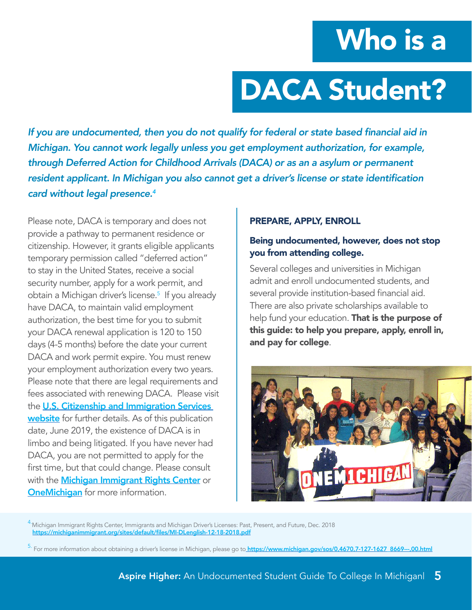# Who is a

# DACA Student?

If you are undocumented, then you do not qualify for federal or state based financial aid in *Michigan. You cannot work legally unless you get employment authorization, for example, through Deferred Action for Childhood Arrivals (DACA) or as an a asylum or permanent*  resident applicant. In Michigan you also cannot get a driver's license or state identification *card without legal presence.4* 

Please note, DACA is temporary and does not provide a pathway to permanent residence or citizenship. However, it grants eligible applicants temporary permission called "deferred action" to stay in the United States, receive a social security number, apply for a work permit, and obtain a Michigan driver's license.<sup>5</sup> If you already have DACA, to maintain valid employment authorization, the best time for you to submit your DACA renewal application is 120 to 150 days (4-5 months) before the date your current DACA and work permit expire. You must renew your employment authorization every two years. Please note that there are legal requirements and fees associated with renewing DACA. Please visit the [U.S. Citizenship and Immigration Services](https://www.uscis.gov/archive/consideration-deferred-action-childhood-arrivals-daca)  [website](https://www.uscis.gov/archive/consideration-deferred-action-childhood-arrivals-daca) for further details. As of this publication date, June 2019, the existence of DACA is in limbo and being litigated. If you have never had DACA, you are not permitted to apply for the first time, but that could change. Please consult with the [Michigan Immigrant Rights Center](https://michiganimmigrant.org/) or **[OneMichigan](http://1michigan.org/)** for more information.

#### PREPARE, APPLY, ENROLL

#### Being undocumented, however, does not stop you from attending college.

Several colleges and universities in Michigan admit and enroll undocumented students, and several provide institution-based financial aid. There are also private scholarships available to help fund your education. That is the purpose of this guide: to help you prepare, apply, enroll in, and pay for college.



<sup>4.</sup>Michigan Immigrant Rights Center, Immigrants and Michigan Driver's Licenses: Past, Present, and Future, Dec. 2018 [https://michiganimmigrant.org/sites/default/files/MI-DLenglish-12-18-2018.pdf](https://michiganimmigrant.org/sites/default/files/MI-DLenglish-12-18-2018.pdf )

<sup>5.</sup> For more information about obtaining a driver's license in Michigan, please go to [https://www.michigan.gov/sos/0,4670,7-127-1627\\_8669---,00.html](https://www.michigan.gov/sos/0,4670,7-127-1627_8669---,00.html)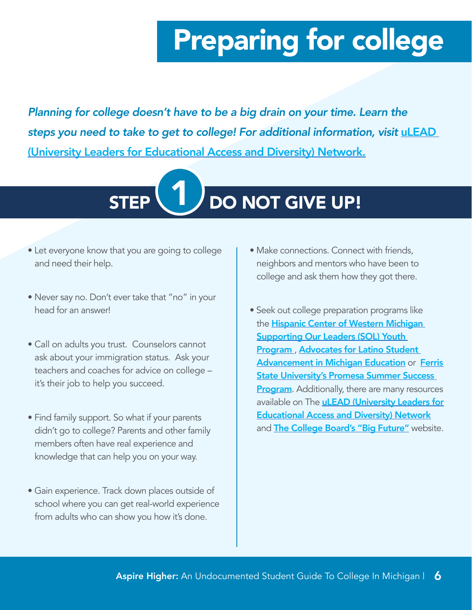<span id="page-6-0"></span>*Planning for college doesn't have to be a big drain on your time. Learn the steps you need to take to get to college! For additional information, visit uLEAD* (University Leaders for Educational Access and Diversity) Networ[k.](http://www.uleadnet.org.)



- Let everyone know that you are going to college and need their help.
- Never say no. Don't ever take that "no" in your head for an answer!
- Call on adults you trust. Counselors cannot ask about your immigration status. Ask your teachers and coaches for advice on college – it's their job to help you succeed.
- Find family support. So what if your parents didn't go to college? Parents and other family members often have real experience and knowledge that can help you on your way.
- Gain experience. Track down places outside of school where you can get real-world experience from adults who can show you how it's done.
- Make connections. Connect with friends, neighbors and mentors who have been to college and ask them how they got there.
- Seek out college preparation programs like the **Hispanic Center of Western Michigan Supporting Our Leaders (SOL) Youth** [Program](https://hispanic-center.org/youth-education-services/) , [Advocates for Latino Student](https://alsame.org/home/)  [Advancement in Michigan Education](https://alsame.org/home/) or [Ferris](https://www.ferris.edu/promesa/)  [State University's Promesa Summer Success](https://www.ferris.edu/promesa/)  **[Program](https://www.ferris.edu/promesa/).** Additionally, there are many resources available on The **[uLEAD \(University Leaders for](https://uleadnet.org/)** [Educational Access and Diversity\) Network](https://uleadnet.org/) and **[The College Board's "Big Future"](https://bigfuture.collegeboard.org/)** website.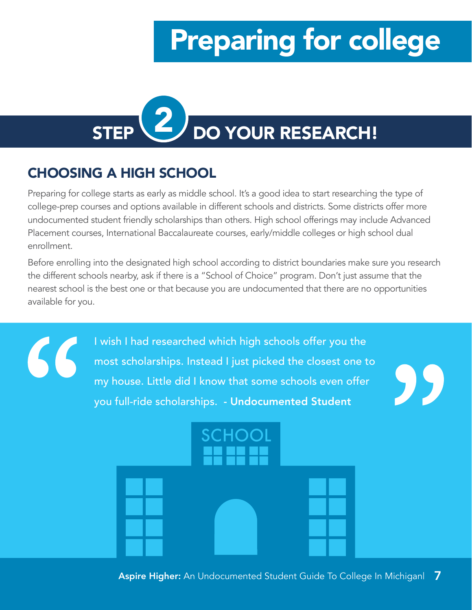<span id="page-7-0"></span>

### CHOOSING A HIGH SCHOOL

66

Preparing for college starts as early as middle school. It's a good idea to start researching the type of college-prep courses and options available in different schools and districts. Some districts offer more undocumented student friendly scholarships than others. High school offerings may include Advanced Placement courses, International Baccalaureate courses, early/middle colleges or high school dual enrollment.

Before enrolling into the designated high school according to district boundaries make sure you research the different schools nearby, ask if there is a "School of Choice" program. Don't just assume that the nearest school is the best one or that because you are undocumented that there are no opportunities available for you.

> I wish I had researched which high schools offer you the most scholarships. Instead I just picked the closest one to my house. Little did I know that some schools even offer you full-ride scholarships. - Undocumented Student



95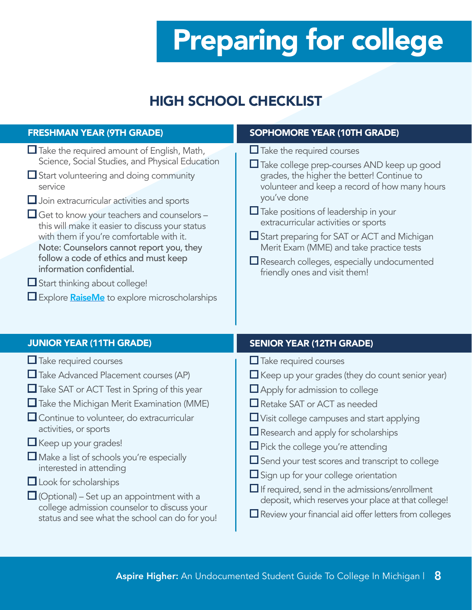### HIGH SCHOOL CHECKLIST

| <b>FRESHMAN YEAR (9TH GRADE)</b>                                                                                                                                                                                                                                                                                                                                                                                                                                                                                                                                                                  | SOPHOMORE YEAR (10TH GRADE)                                                                                                                                                                                                                                                                                                                                                                                                                                                 |  |
|---------------------------------------------------------------------------------------------------------------------------------------------------------------------------------------------------------------------------------------------------------------------------------------------------------------------------------------------------------------------------------------------------------------------------------------------------------------------------------------------------------------------------------------------------------------------------------------------------|-----------------------------------------------------------------------------------------------------------------------------------------------------------------------------------------------------------------------------------------------------------------------------------------------------------------------------------------------------------------------------------------------------------------------------------------------------------------------------|--|
| $\Box$ Take the required amount of English, Math,<br>Science, Social Studies, and Physical Education<br>$\Box$ Start volunteering and doing community<br>service<br>$\Box$ Join extracurricular activities and sports<br>$\Box$ Get to know your teachers and counselors –<br>this will make it easier to discuss your status<br>with them if you're comfortable with it.<br>Note: Counselors cannot report you, they<br>follow a code of ethics and must keep<br>information confidential.<br>$\Box$ Start thinking about college!<br>$\Box$ Explore <b>RaiseMe</b> to explore microscholarships | $\Box$ Take the required courses<br>Take college prep-courses AND keep up good<br>grades, the higher the better! Continue to<br>volunteer and keep a record of how many hours<br>you've done<br>$\Box$ Take positions of leadership in your<br>extracurricular activities or sports<br>$\Box$ Start preparing for SAT or ACT and Michigan<br>Merit Exam (MME) and take practice tests<br>$\Box$ Research colleges, especially undocumented<br>friendly ones and visit them! |  |
| <b>JUNIOR YEAR (11TH GRADE)</b>                                                                                                                                                                                                                                                                                                                                                                                                                                                                                                                                                                   | <b>SENIOR YEAR (12TH GRADE)</b>                                                                                                                                                                                                                                                                                                                                                                                                                                             |  |
| $\Box$ Take required courses<br>$\Box$ Take Advanced Placement courses (AP)<br>$\Box$ Take SAT or ACT Test in Spring of this year<br>$\Box$ Take the Michigan Merit Examination (MME)<br>$\Box$ Continue to volunteer, do extracurricular<br>activities, or sports<br>$\Box$ Keep up your grades!<br>$\Box$ Make a list of schools you're especially<br>interested in attending                                                                                                                                                                                                                   | $\Box$ Take required courses<br>$\Box$ Keep up your grades (they do count senior year)<br>$\Box$ Apply for admission to college<br>Retake SAT or ACT as needed<br>$\Box$ Visit college campuses and start applying<br>$\Box$ Research and apply for scholarships<br>$\Box$ Pick the college you're attending<br>$\Box$ Send your test scores and transcript to college                                                                                                      |  |

- $\Box$  Look for scholarships
- $\Box$  (Optional) Set up an appointment with a college admission counselor to discuss your status and see what the school can do for you!
- $\square$  Sign up for your college orientation  $\Box$  If required, send in the admissions/enrollment
- deposit, which reserves your place at that college!
- Review your financial aid offer letters from colleges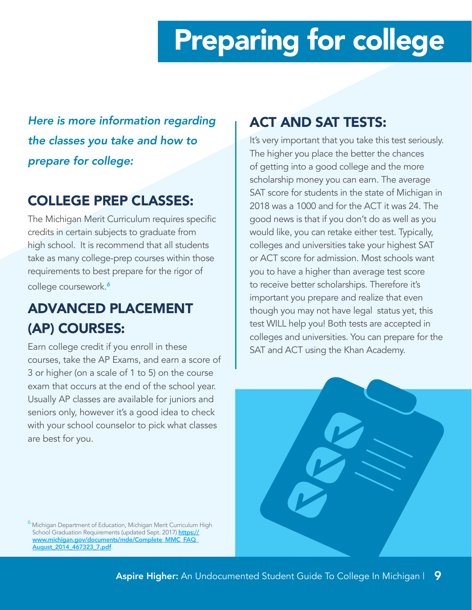*Here is more information regarding the classes you take and how to prepare for college:*

### COLLEGE PREP CLASSES:

The Michigan Merit Curriculum requires specific credits in certain subjects to graduate from high school. It is recommend that all students take as many college-prep courses within those requirements to best prepare for the rigor of college coursework.*<sup>6</sup>*

### ADVANCED PLACEMENT (AP) COURSES:

Earn college credit if you enroll in these courses, take the AP Exams, and earn a score of 3 or higher (on a scale of 1 to 5) on the course exam that occurs at the end of the school year. Usually AP classes are available for juniors and seniors only, however it's a good idea to check with your school counselor to pick what classes are best for you.

### ACT AND SAT TESTS:

It's very important that you take this test seriously. The higher you place the better the chances of getting into a good college and the more scholarship money you can earn. The average SAT score for students in the state of Michigan in 2018 was a 1000 and for the ACT it was 24. The good news is that if you don't do as well as you would like, you can retake either test. Typically, colleges and universities take your highest SAT or ACT score for admission. Most schools want you to have a higher than average test score to receive better scholarships. Therefore it's important you prepare and realize that even though you may not have legal status yet, this test WILL help you! Both tests are accepted in colleges and universities. You can prepare for the SAT and ACT using the Khan Academy.



6.Michigan Department of Education, Michigan Merit Curriculum High School Graduation Requirements (updated Sept. 2017) [https://](https://www.michigan.gov/documents/mde/Complete_MMC_FAQ_August_2014_467323_7.pdf) www.michigan.gov/documents/mde/Complete\_MMC\_FAQ [August\\_2014\\_467323\\_7.pdf](https://www.michigan.gov/documents/mde/Complete_MMC_FAQ_August_2014_467323_7.pdf).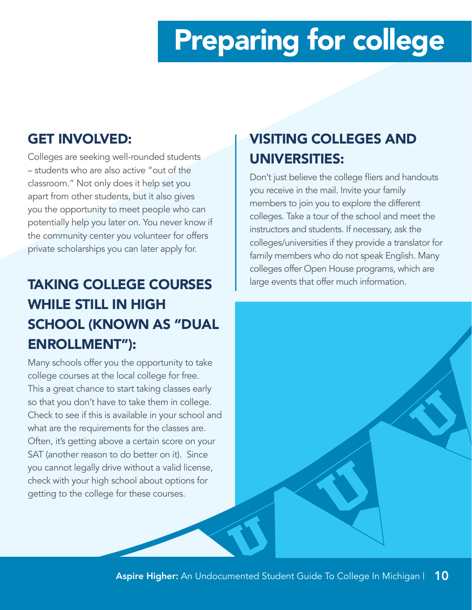### GET INVOLVED:

Colleges are seeking well-rounded students – students who are also active "out of the classroom." Not only does it help set you apart from other students, but it also gives you the opportunity to meet people who can potentially help you later on. You never know if the community center you volunteer for offers private scholarships you can later apply for.

## TAKING COLLEGE COURSES WHILE STILL IN HIGH SCHOOL (KNOWN AS "DUAL ENROLLMENT"):

Many schools offer you the opportunity to take college courses at the local college for free. This a great chance to start taking classes early so that you don't have to take them in college. Check to see if this is available in your school and what are the requirements for the classes are. Often, it's getting above a certain score on your SAT (another reason to do better on it). Since you cannot legally drive without a valid license, check with your high school about options for getting to the college for these courses.

### VISITING COLLEGES AND UNIVERSITIES:

Don't just believe the college fliers and handouts you receive in the mail. Invite your family members to join you to explore the different colleges. Take a tour of the school and meet the instructors and students. If necessary, ask the colleges/universities if they provide a translator for family members who do not speak English. Many colleges offer Open House programs, which are large events that offer much information.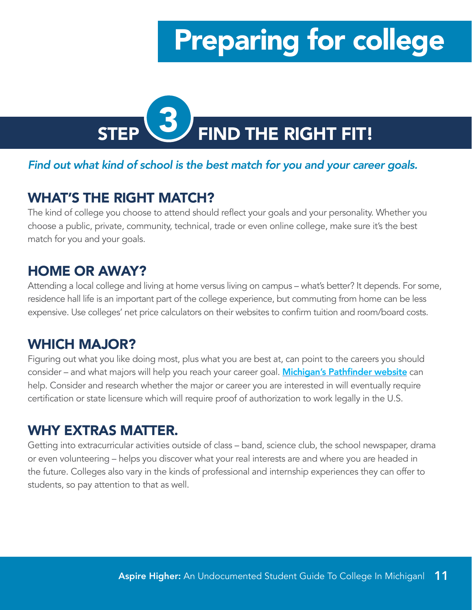<span id="page-11-0"></span>

#### *Find out what kind of school is the best match for you and your career goals.*

### WHAT'S THE RIGHT MATCH?

The kind of college you choose to attend should reflect your goals and your personality. Whether you choose a public, private, community, technical, trade or even online college, make sure it's the [best](https://www.michigancap.org/)  [match for you](https://www.michigancap.org/) and your goals.

### HOME OR AWAY?

Attending a local college and living at home versus living on campus – what's better? It depends. For some, residence hall life is an important part of the college experience, but commuting from home can be less expensive. Use colleges' net price calculators on their websites to confirm tuition and room/board costs.

### WHICH MAJOR?

Figuring out what you like doing most, plus what you are best at, can point to the careers you should consider – and what majors will help you reach your career goal. **[Michigan's Pathfinder website](https://pathfinder.mitalent.org/#/home)** can help. Consider and research whether the major or career you are interested in will eventually require certification or state licensure which will require proof of authorization to work legally in the U.S.

### WHY EXTRAS MATTER.

Getting into extracurricular activities outside of class – band, science club, the school newspaper, drama or even volunteering – helps you discover what your real interests are and where you are headed in the future. Colleges also vary in the kinds of professional and internship experiences they can offer to students, so pay attention to that as well.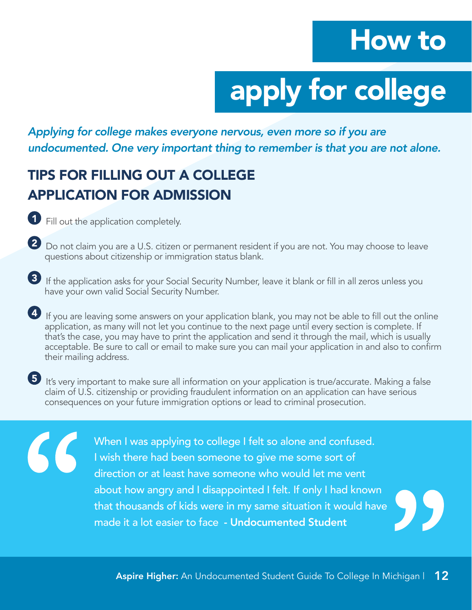# How to

# apply for college

<span id="page-12-0"></span>*Applying for college makes everyone nervous, even more so if you are undocumented. One very important thing to remember is that you are not alone.*

### TIPS FOR FILLING OUT A COLLEGE APPLICATION FOR ADMISSION

**1** Fill out the application completely.

66

- 2 Do not claim you are a U.S. citizen or permanent resident if you are not. You may choose to leave questions about citizenship or immigration status blank.
- <sup>3</sup> If the application asks for your Social Security Number, leave it blank or fill in all zeros unless you have your own valid Social Security Number.
- 4 If you are leaving some answers on your application blank, you may not be able to fill out the online application, as many will not let you continue to the next page until every section is complete. If that's the case, you may have to print the application and send it through the mail, which is usually acceptable. Be sure to call or email to make sure you can mail your application in and also to confirm their mailing address.
- 5 It's very important to make sure all information on your application is true/accurate. Making a false claim of U.S. citizenship or providing fraudulent information on an application can have serious consequences on your future immigration options or lead to criminal prosecution.

When I was applying to college I felt so alone and confused. I wish there had been someone to give me some sort of direction or at least have someone who would let me vent about how angry and I disappointed I felt. If only I had known that thousands of kids were in my same situation it would have made it a lot easier to face - Undocumented Student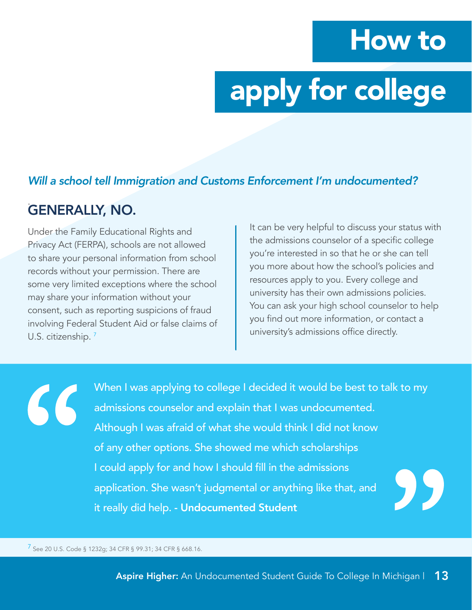# How to

# apply for college

#### *Will a school tell Immigration and Customs Enforcement I'm undocumented?*

#### . GENERALLY, NO.

Under the Family Educational Rights and Privacy Act (FERPA), schools are not allowed to share your personal information from school records without your permission. There are some very limited exceptions where the school may share your information without your consent, such as reporting suspicions of fraud involving Federal Student Aid or false claims of U.S. citizenship.<sup>7</sup>

It can be very helpful to discuss your status with the admissions counselor of a specific college you're interested in so that he or she can tell you more about how the school's policies and resources apply to you. Every college and university has their own admissions policies. You can ask your high school counselor to help you find out more information, or contact a university's admissions office directly.

When I was applying to college I decided it would be best to talk to my 66 admissions counselor and explain that I was undocumented. Although I was afraid of what she would think I did not know of any other options. She showed me which scholarships I could apply for and how I should fill in the admissions application. She wasn't judgmental or anything like that, and it really did help. - Undocumented Student

7 See 20 U.S. Code § 1232g; 34 CFR § 99.31; 34 CFR § 668.16.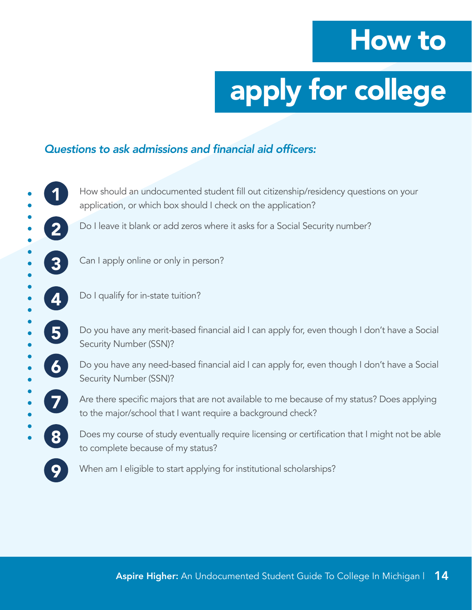# How to

# apply for college

#### Questions to ask admissions and financial aid officers:

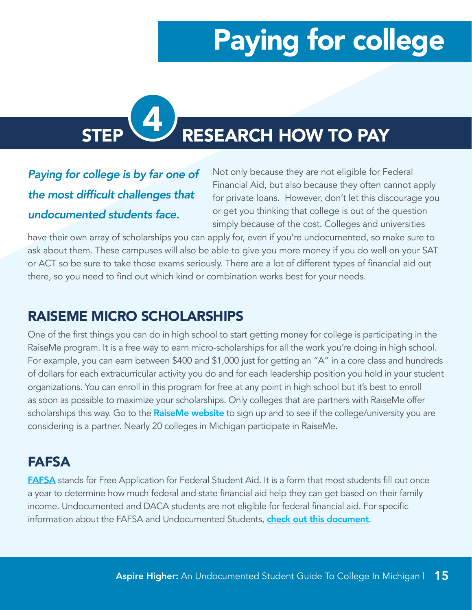# <span id="page-15-0"></span>STEP **WE RESEARCH HOW TO PAY**

### *Paying for college is by far one of*  the most difficult challenges that *undocumented students face.*

Not only because they are not eligible for Federal Financial Aid, but also because they often cannot apply for private loans. However, don't let this discourage you or get you thinking that college is out of the question simply because of the cost. Colleges and universities

have their own array of scholarships you can apply for, even if you're undocumented, so make sure to ask about them. These campuses will also be able to give you more money if you do well on your SAT or ACT so be sure to take those exams seriously. There are a lot of different types of financial aid out there, so you need to find out which kind or combination works best for your needs.

### RAISEME MICRO SCHOLARSHIPS

One of the first things you can do in high school to start getting money for college is participating in the RaiseMe program. It is a free way to earn micro-scholarships for all the work you're doing in high school. For example, you can earn between \$400 and \$1,000 just for getting an "A" in a core class and hundreds of dollars for each extracurricular activity you do and for each leadership position you hold in your student organizations. You can enroll in this program for free at any point in high school but it's best to enroll as soon as possible to maximize your scholarships. Only colleges that are partners with RaiseMe offer scholarships this way. Go to the **[RaiseMe website](https://www.raise.me/)** to sign up and to see if the college/university you are considering is a partner. Nearly 20 colleges in Michigan participate in RaiseMe.

### FAFSA

**[FAFSA](https://studentaid.ed.gov/sa/fafsa)** stands for Free Application for Federal Student Aid. It is a form that most students fill out once a year to determine how much federal and state financial aid help they can get based on their family income. Undocumented and DACA students are not eligible for federal financial aid. For specific information about the FAFSA and Undocumented Students, [check out this document](https://studentaid.ed.gov/sa/sites/default/files/financial-aid-and-undocumented-students.pdf).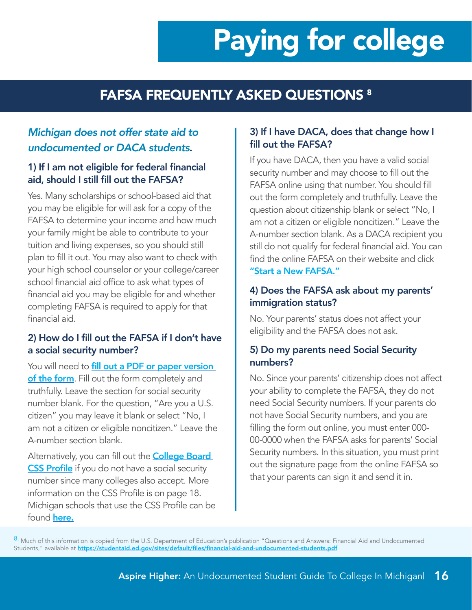### FAFSA FREQUENTLY ASKED QUESTIONS 8

#### *Michigan does not offer state aid to undocumented or DACA students*.

#### 1) If I am not eligible for federal financial aid, should I still fill out the FAFSA?

Yes. Many scholarships or school-based aid that you may be eligible for will ask for a copy of the FAFSA to determine your income and how much your family might be able to contribute to your tuition and living expenses, so you should still plan to fill it out. You may also want to check with your high school counselor or your college/career school financial aid office to ask what types of financial aid you may be eligible for and whether completing FAFSA is required to apply for that financial aid.

#### 2) How do I fill out the FAFSA if I don't have a social security number?

You will need to **fill out a PDF or paper version** of the form. Fill out the form completely and truthfully. Leave the section for social security number blank. For the question, "Are you a U.S. citizen" you may leave it blank or select "No, I am not a citizen or eligible noncitizen." Leave the A-number section blank.

Alternatively, you can fill out the **College Board** [CSS Profile](https://cssprofile.collegeboard.org/) if you do not have a social security number since many colleges also accept. More information on the CSS Profile is on page 18. Michigan schools that use the CSS Profile can be found **[here](https://profile.collegeboard.org/profile/ppi/participatingInstitutions.aspx).** 

#### 3) If I have DACA, does that change how I fill out the FAFSA?

If you have DACA, then you have a valid social security number and may choose to fill out the FAFSA online using that number. You should fill out the form completely and truthfully. Leave the question about citizenship blank or select "No, I am not a citizen or eligible noncitizen." Leave the A-number section blank. As a DACA recipient you still do not qualify for federal financial aid. You can find the online FAFSA on their website and click ["Start a New FAFSA."](https://studentaid.ed.gov/sa/fafsa)

#### 4) Does the FAFSA ask about my parents' immigration status?

No. Your parents' status does not affect your eligibility and the FAFSA does not ask.

#### 5) Do my parents need Social Security numbers?

No. Since your parents' citizenship does not affect your ability to complete the FAFSA, they do not need Social Security numbers. If your parents do not have Social Security numbers, and you are filling the form out online, you must enter 000- 00-0000 when the FAFSA asks for parents' Social Security numbers. In this situation, you must print out the signature page from the online FAFSA so that your parents can sign it and send it in.

8. Much of this information is copied from the U.S. Department of Education's publication "Questions and Answers: Financial Aid and Undocumented Students," available at <https://studentaid.ed.gov/sites/default/files/financial-aid-and-undocumented-students.pdf>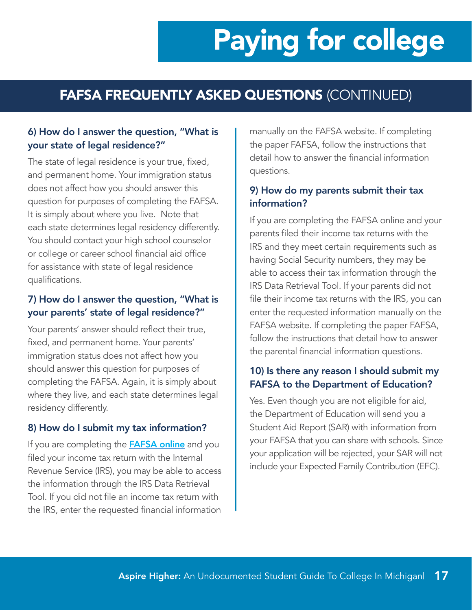### FAFSA FREQUENTLY ASKED QUESTIONS (CONTINUED)

#### 6) How do I answer the question, "What is your state of legal residence?"

The state of legal residence is your true, fixed, and permanent home. Your immigration status does not affect how you should answer this question for purposes of completing the FAFSA. It is simply about where you live. Note that each state determines legal residency differently. You should contact your high school counselor or college or career school financial aid office for assistance with state of legal residence qualifications.

#### 7) How do I answer the question, "What is your parents' state of legal residence?"

Your parents' answer should reflect their true, fixed, and permanent home. Your parents' immigration status does not affect how you should answer this question for purposes of completing the FAFSA. Again, it is simply about where they live, and each state determines legal residency differently.

#### 8) How do I submit my tax information?

If you are completing the **[FAFSA online](http://www.fafsa.gov)** and you filed your income tax return with the Internal Revenue Service (IRS), you may be able to access the information through the IRS Data Retrieval Tool. If you did not file an income tax return with the IRS, enter the requested financial information manually on the FAFSA website. If completing the paper FAFSA, follow the instructions that detail how to answer the financial information questions.

#### 9) How do my parents submit their tax information?

If you are completing the FAFSA online and your parents filed their income tax returns with the IRS and they meet certain requirements such as having Social Security numbers, they may be able to access their tax information through the IRS Data Retrieval Tool. If your parents did not file their income tax returns with the IRS, you can enter the requested information manually on the FAFSA website. If completing the paper FAFSA, follow the instructions that detail how to answer the parental financial information questions.

#### 10) Is there any reason I should submit my FAFSA to the Department of Education?

Yes. Even though you are not eligible for aid, the Department of Education will send you a Student Aid Report (SAR) with information from your FAFSA that you can share with schools. Since your application will be rejected, your SAR will not include your Expected Family Contribution (EFC).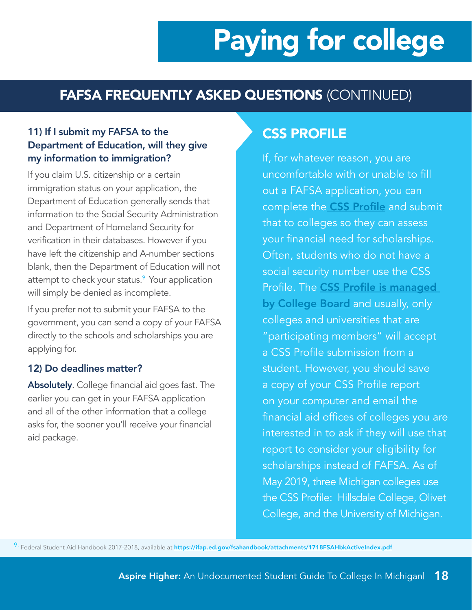### FAFSA FREQUENTLY ASKED QUESTIONS (CONTINUED)

#### 11) If I submit my FAFSA to the Department of Education, will they give my information to immigration?

If you claim U.S. citizenship or a certain immigration status on your application, the Department of Education generally sends that information to the Social Security Administration and Department of Homeland Security for verification in their databases. However if you have left the citizenship and A-number sections blank, then the Department of Education will not attempt to check your status.<sup>9</sup> Your application will simply be denied as incomplete.

If you prefer not to submit your FAFSA to the government, you can send a copy of your FAFSA directly to the schools and scholarships you are applying for.

#### 12) Do deadlines matter?

Absolutely. College financial aid goes fast. The earlier you can get in your [FAFSA](http://www.fafsa.ed.gov/) application and all of the other information that a college asks for, the sooner you'll receive your financial aid package.

### CSS PROFILE

If, for whatever reason, you are uncomfortable with or unable to fill out a FAFSA application, you can complete the [CSS Profile](https://cssprofile.collegeboard.org/) and submit that to colleges so they can assess your financial need for scholarships. Often, students who do not have a social security number use the CSS Profile. The [CSS Profile is managed](chrome-extension://oemmndcbldboiebfnladdacbdfmadadm/https://cssprofile.collegeboard.org/pdf/css-profile-student-guide.pdf)  [by College Board](chrome-extension://oemmndcbldboiebfnladdacbdfmadadm/https://cssprofile.collegeboard.org/pdf/css-profile-student-guide.pdf) and usually, only colleges and universities that are "participating members" will accept a CSS Profile submission from a student. However, you should save a copy of your CSS Profile report on your computer and email the financial aid offices of colleges you are interested in to ask if they will use that report to consider your eligibility for scholarships instead of FAFSA. As of May 2019, three Michigan colleges use the CSS Profile: Hillsdale College, Olivet College, and the University of Michigan.

9. Federal Student Aid Handbook 2017-2018, available at **<https://ifap.ed.gov/fsahandbook/attachments/1718FSAHbkActiveIndex.pdf>**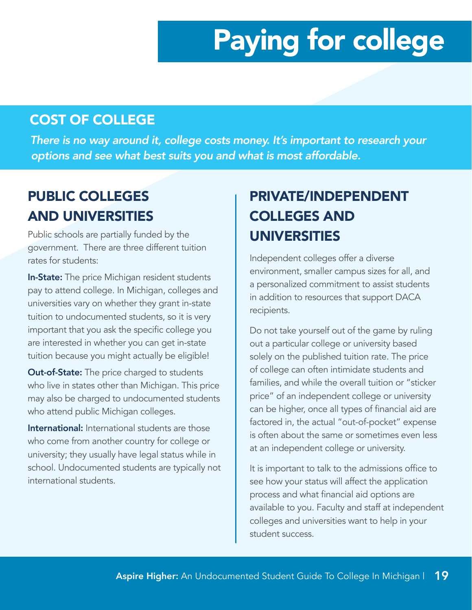### COST OF COLLEGE

*There is no way around it, college costs money. It's important to research your options and see what best suits you and what is most affordable.*

### PUBLIC COLLEGES AND UNIVERSITIES

Public schools are partially funded by the government. There are three different tuition rates for students:

In-State: The price Michigan resident students pay to attend college. In Michigan, colleges and universities vary on whether they grant in-state tuition to undocumented students, so it is very important that you ask the specific college you are interested in whether you can get in-state tuition because you might actually be eligible!

**Out-of-State:** The price charged to students who live in states other than Michigan. This price may also be charged to undocumented students who attend public Michigan colleges.

International: International students are those who come from another country for college or university; they usually have legal status while in school. Undocumented students are typically not international students.

### PRIVATE/INDEPENDENT COLLEGES AND UNIVERSITIES

Independent colleges offer a diverse environment, smaller campus sizes for all, and a personalized commitment to assist students in addition to resources that support DACA recipients.

Do not take yourself out of the game by ruling out a particular college or university based solely on the published tuition rate. The price of college can often intimidate students and families, and while the overall tuition or "sticker price" of an independent college or university can be higher, once all types of financial aid are factored in, the actual "out-of-pocket" expense is often about the same or sometimes even less at an independent college or university.

It is important to talk to the admissions office to see how your status will affect the application process and what financial aid options are available to you. Faculty and staff at independent colleges and universities want to help in your student success.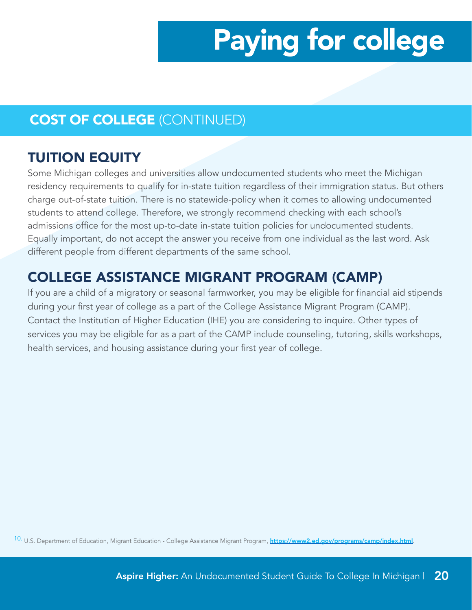### COST OF COLLEGE (CONTINUED)

### TUITION EQUITY

Some Michigan colleges and universities allow undocumented students who meet the Michigan residency requirements to qualify for in-state tuition regardless of their immigration status. But others charge out-of-state tuition. There is no statewide-policy when it comes to allowing undocumented students to attend college. Therefore, we strongly recommend checking with each school's admissions office for the most up-to-date in-state tuition policies for undocumented students. Equally important, do not accept the answer you receive from one individual as the last word. Ask different people from different departments of the same school.

### COLLEGE ASSISTANCE MIGRANT PROGRAM (CAMP)

If you are a child of a migratory or seasonal farmworker, you may be eligible for financial aid stipends during your first year of college as a part of the College Assistance Migrant Program (CAMP). Contact the Institution of Higher Education (IHE) you are considering to inquire. Other types of services you may be eligible for as a part of the CAMP include counseling, tutoring, skills workshops, health services, and housing assistance during your first year of college.

10. U.S. Department of Education, Migrant Education - College Assistance Migrant Program, <https://www2.ed.gov/programs/camp/index.html>.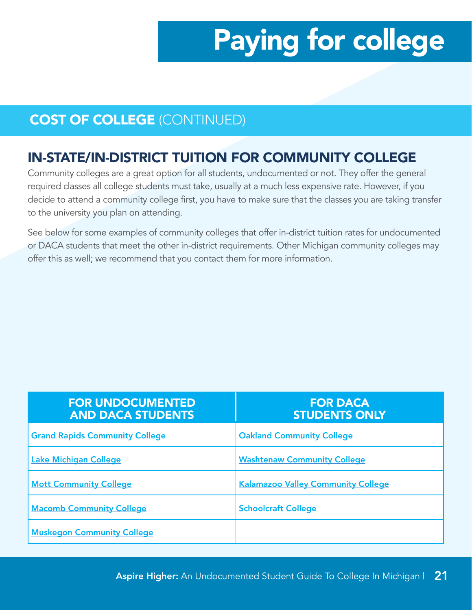### COST OF COLLEGE (CONTINUED)

### IN-STATE/IN-DISTRICT TUITION FOR COMMUNITY COLLEGE

Community colleges are a great option for all students, undocumented or not. They offer the general required classes all college students must take, usually at a much less expensive rate. However, if you decide to attend a community college first, you have to make sure that the classes you are taking transfer to the university you plan on attending.

See below for some examples of community colleges that offer in-district tuition rates for undocumented or DACA students that meet the other in-district requirements. Other Michigan community colleges may offer this as well; we recommend that you contact them for more information.

| <b>FOR UNDOCUMENTED</b><br><b>AND DACA STUDENTS</b> | <b>FOR DACA</b><br><b>STUDENTS ONLY</b>   |
|-----------------------------------------------------|-------------------------------------------|
| <b>Grand Rapids Community College</b>               | <b>Oakland Community College</b>          |
| Lake Michigan College                               | <b>Washtenaw Community College</b>        |
| <b>Mott Community College</b>                       | <b>Kalamazoo Valley Community College</b> |
| <b>Macomb Community College</b>                     | <b>Schoolcraft College</b>                |
| <b>Muskegon Community College</b>                   |                                           |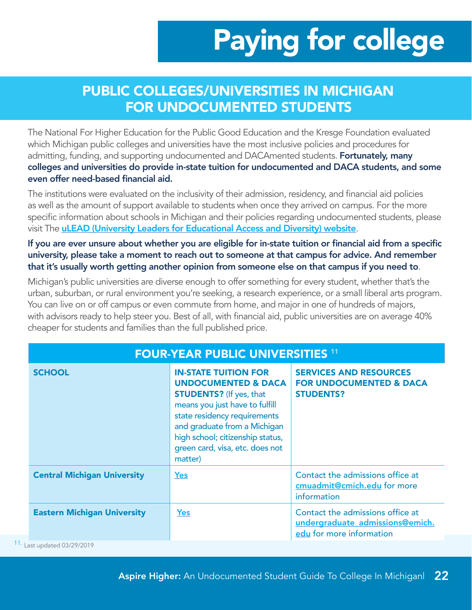### PUBLIC COLLEGES/UNIVERSITIES IN MICHIGAN FOR UNDOCUMENTED STUDENTS

The National For Higher Education for the Public Good Education and the Kresge Foundation evaluated which Michigan public colleges and universities have the most inclusive policies and procedures for admitting, funding, and supporting undocumented and DACAmented students. **Fortunately, many** colleges and universities do provide in-state tuition for undocumented and DACA students, and some even offer need-based financial aid.

The institutions were evaluated on the inclusivity of their admission, residency, and financial aid policies as well as the amount of support available to students when once they arrived on campus. For the more specific information about schools in Michigan and their policies regarding undocumented students, please visit The **[uLEAD \(University Leaders for Educational Access and Diversity\) website](https://uleadnet.org/mi-undocu-map).** 

#### If you are ever unsure about whether you are eligible for in-state tuition or financial aid from a specific university, please take a moment to reach out to someone at that campus for advice. And remember that it's usually worth getting another opinion from someone else on that campus if you need to.

Michigan's public universities are diverse enough to offer something for every student, whether that's the urban, suburban, or rural environment you're seeking, a research experience, or a small liberal arts program. You can live on or off campus or even commute from home, and major in one of hundreds of majors, with advisors ready to help steer you. Best of all, with financial aid, public universities are on average 40% cheaper for students and families than the full published price.

| <b>FOUR-YEAR PUBLIC UNIVERSITIES 11</b>            |                                                                                                                                                                                                                                                                                     |                                                                                                 |  |
|----------------------------------------------------|-------------------------------------------------------------------------------------------------------------------------------------------------------------------------------------------------------------------------------------------------------------------------------------|-------------------------------------------------------------------------------------------------|--|
| <b>SCHOOL</b>                                      | <b>IN-STATE TUITION FOR</b><br><b>UNDOCUMENTED &amp; DACA</b><br><b>STUDENTS?</b> (If yes, that<br>means you just have to fulfill<br>state residency requirements<br>and graduate from a Michigan<br>high school; citizenship status,<br>green card, visa, etc. does not<br>matter) | <b>SERVICES AND RESOURCES</b><br><b>FOR UNDOCUMENTED &amp; DACA</b><br><b>STUDENTS?</b>         |  |
| <b>Central Michigan University</b>                 | <b>Yes</b>                                                                                                                                                                                                                                                                          | Contact the admissions office at<br>cmuadmit@cmich.edu for more<br>information                  |  |
| <b>Eastern Michigan University</b><br>1.0010010010 | Yes                                                                                                                                                                                                                                                                                 | Contact the admissions office at<br>undergraduate admissions@emich.<br>edu for more information |  |

11. Last updated 03/29/2019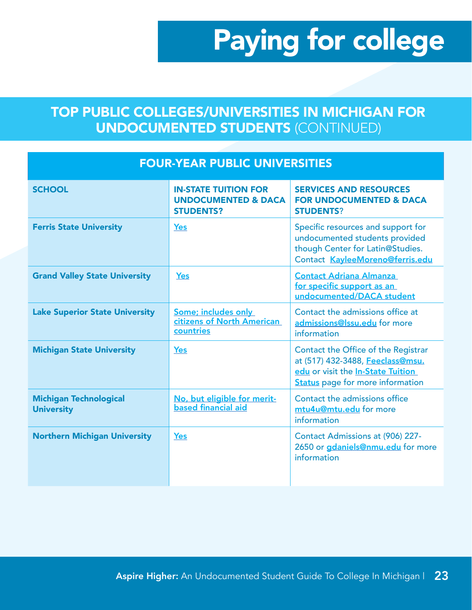### TOP PUBLIC COLLEGES/UNIVERSITIES IN MICHIGAN FOR UNDOCUMENTED STUDENTS (CONTINUED)

| <b>FOUR-YEAR PUBLIC UNIVERSITIES</b>               |                                                                                   |                                                                                                                                                         |  |
|----------------------------------------------------|-----------------------------------------------------------------------------------|---------------------------------------------------------------------------------------------------------------------------------------------------------|--|
| <b>SCHOOL</b>                                      | <b>IN-STATE TUITION FOR</b><br><b>UNDOCUMENTED &amp; DACA</b><br><b>STUDENTS?</b> | <b>SERVICES AND RESOURCES</b><br><b>FOR UNDOCUMENTED &amp; DACA</b><br><b>STUDENTS?</b>                                                                 |  |
| <b>Ferris State University</b>                     | <b>Yes</b>                                                                        | Specific resources and support for<br>undocumented students provided<br>though Center for Latin@Studies.<br>Contact KayleeMoreno@ferris.edu             |  |
| <b>Grand Valley State University</b>               | <b>Yes</b>                                                                        | <b>Contact Adriana Almanza</b><br>for specific support as an<br>undocumented/DACA student                                                               |  |
| <b>Lake Superior State University</b>              | Some; includes only<br>citizens of North American<br>countries                    | Contact the admissions office at<br>admissions@lssu.edu for more<br>information                                                                         |  |
| <b>Michigan State University</b>                   | <b>Yes</b>                                                                        | Contact the Office of the Registrar<br>at (517) 432-3488, Feeclass@msu.<br>edu or visit the In-State Tuition<br><b>Status</b> page for more information |  |
| <b>Michigan Technological</b><br><b>University</b> | No, but eligible for merit-<br>based financial aid                                | Contact the admissions office<br>mtu4u@mtu.edu for more<br>information                                                                                  |  |
| <b>Northern Michigan University</b>                | <b>Yes</b>                                                                        | Contact Admissions at (906) 227-<br>2650 or gdaniels@nmu.edu for more<br>information                                                                    |  |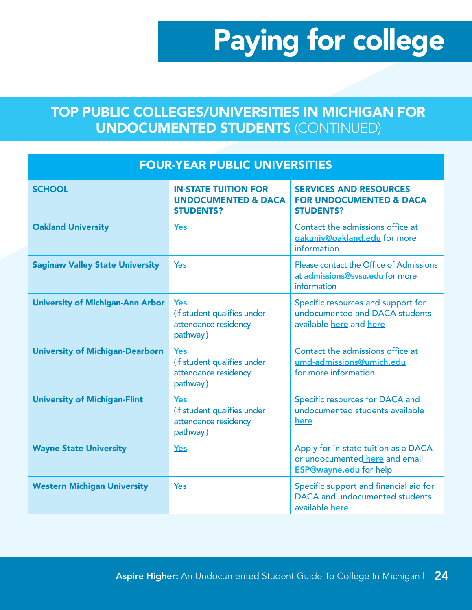### TOP PUBLIC COLLEGES/UNIVERSITIES IN MICHIGAN FOR UNDOCUMENTED STUDENTS (CONTINUED)

| <b>FOUR-YEAR PUBLIC UNIVERSITIES</b>    |                                                                                   |                                                                                                         |  |
|-----------------------------------------|-----------------------------------------------------------------------------------|---------------------------------------------------------------------------------------------------------|--|
| <b>SCHOOL</b>                           | <b>IN-STATE TUITION FOR</b><br><b>UNDOCUMENTED &amp; DACA</b><br><b>STUDENTS?</b> | <b>SERVICES AND RESOURCES</b><br><b>FOR UNDOCUMENTED &amp; DACA</b><br><b>STUDENTS?</b>                 |  |
| <b>Oakland University</b>               | <b>Yes</b>                                                                        | Contact the admissions office at<br>oakuniv@oakland.edu for more<br>information                         |  |
| <b>Saginaw Valley State University</b>  | Yes                                                                               | Please contact the Office of Admissions<br>at admissions@svsu.edu for more<br>information               |  |
| <b>University of Michigan-Ann Arbor</b> | Yes<br>(If student qualifies under<br>attendance residency<br>pathway.)           | Specific resources and support for<br>undocumented and DACA students<br>available here and here         |  |
| <b>University of Michigan-Dearborn</b>  | <b>Yes</b><br>(If student qualifies under<br>attendance residency<br>pathway.)    | Contact the admissions office at<br>umd-admissions@umich.edu<br>for more information                    |  |
| <b>University of Michigan-Flint</b>     | <b>Yes</b><br>(If student qualifies under<br>attendance residency<br>pathway.)    | Specific resources for DACA and<br>undocumented students available<br>here                              |  |
| <b>Wayne State University</b>           | <b>Yes</b>                                                                        | Apply for in-state tuition as a DACA<br>or undocumented here and email<br><b>ESP@wayne.edu</b> for help |  |
| <b>Western Michigan University</b>      | Yes                                                                               | Specific support and financial aid for<br>DACA and undocumented students<br>available here              |  |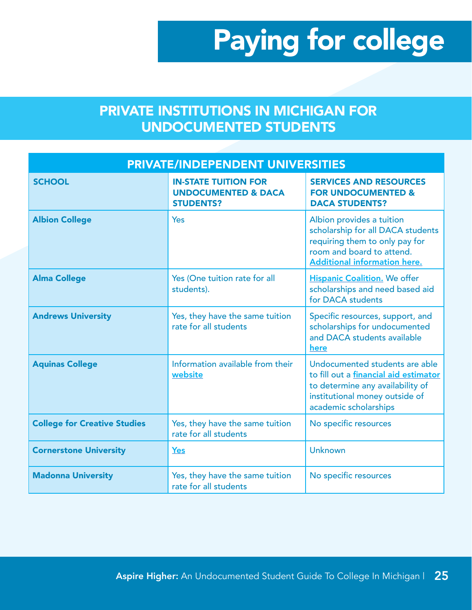### PRIVATE INSTITUTIONS IN MICHIGAN FOR UNDOCUMENTED STUDENTS

| <b>PRIVATE/INDEPENDENT UNIVERSITIES</b> |                                                                                   |                                                                                                                                                                        |  |
|-----------------------------------------|-----------------------------------------------------------------------------------|------------------------------------------------------------------------------------------------------------------------------------------------------------------------|--|
| <b>SCHOOL</b>                           | <b>IN-STATE TUITION FOR</b><br><b>UNDOCUMENTED &amp; DACA</b><br><b>STUDENTS?</b> | <b>SERVICES AND RESOURCES</b><br><b>FOR UNDOCUMENTED &amp;</b><br><b>DACA STUDENTS?</b>                                                                                |  |
| <b>Albion College</b>                   | Yes                                                                               | Albion provides a tuition<br>scholarship for all DACA students<br>requiring them to only pay for<br>room and board to attend.<br><b>Additional information here.</b>   |  |
| <b>Alma College</b>                     | Yes (One tuition rate for all<br>students).                                       | <b>Hispanic Coalition.</b> We offer<br>scholarships and need based aid<br>for DACA students                                                                            |  |
| <b>Andrews University</b>               | Yes, they have the same tuition<br>rate for all students                          | Specific resources, support, and<br>scholarships for undocumented<br>and DACA students available<br>here                                                               |  |
| <b>Aquinas College</b>                  | Information available from their<br>website                                       | Undocumented students are able<br>to fill out a financial aid estimator<br>to determine any availability of<br>institutional money outside of<br>academic scholarships |  |
| <b>College for Creative Studies</b>     | Yes, they have the same tuition<br>rate for all students                          | No specific resources                                                                                                                                                  |  |
| <b>Cornerstone University</b>           | Yes                                                                               | <b>Unknown</b>                                                                                                                                                         |  |
| <b>Madonna University</b>               | Yes, they have the same tuition<br>rate for all students                          | No specific resources                                                                                                                                                  |  |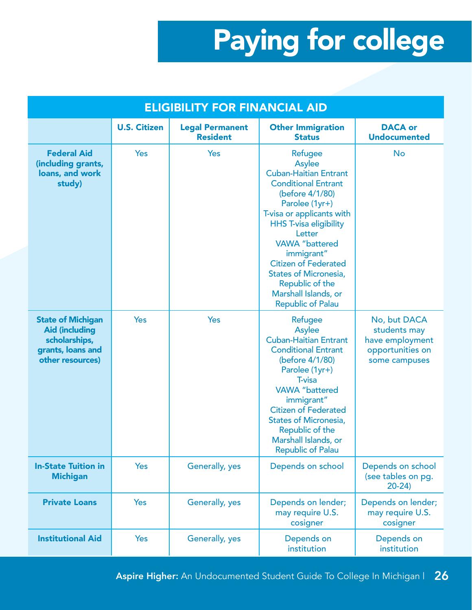| <b>ELIGIBILITY FOR FINANCIAL AID</b>                                                                        |                     |                                           |                                                                                                                                                                                                                                                                                                                                                                           |                                                                                      |
|-------------------------------------------------------------------------------------------------------------|---------------------|-------------------------------------------|---------------------------------------------------------------------------------------------------------------------------------------------------------------------------------------------------------------------------------------------------------------------------------------------------------------------------------------------------------------------------|--------------------------------------------------------------------------------------|
|                                                                                                             | <b>U.S. Citizen</b> | <b>Legal Permanent</b><br><b>Resident</b> | <b>Other Immigration</b><br><b>Status</b>                                                                                                                                                                                                                                                                                                                                 | <b>DACA or</b><br><b>Undocumented</b>                                                |
| <b>Federal Aid</b><br>(including grants,<br>loans, and work<br>study)                                       | <b>Yes</b>          | Yes                                       | Refugee<br>Asylee<br><b>Cuban-Haitian Entrant</b><br><b>Conditional Entrant</b><br>(before 4/1/80)<br>Parolee (1yr+)<br>T-visa or applicants with<br><b>HHS T-visa eligibility</b><br>Letter<br><b>VAWA</b> "battered<br>immigrant"<br><b>Citizen of Federated</b><br><b>States of Micronesia,</b><br>Republic of the<br>Marshall Islands, or<br><b>Republic of Palau</b> | <b>No</b>                                                                            |
| <b>State of Michigan</b><br><b>Aid (including</b><br>scholarships,<br>grants, loans and<br>other resources) | Yes                 | Yes                                       | Refugee<br><b>Asylee</b><br><b>Cuban-Haitian Entrant</b><br><b>Conditional Entrant</b><br>(before 4/1/80)<br>Parolee (1yr+)<br>T-visa<br><b>VAWA</b> "battered<br>immigrant"<br><b>Citizen of Federated</b><br><b>States of Micronesia,</b><br>Republic of the<br>Marshall Islands, or<br><b>Republic of Palau</b>                                                        | No, but DACA<br>students may<br>have employment<br>opportunities on<br>some campuses |
| <b>In-State Tuition in</b><br><b>Michigan</b>                                                               | Yes                 | Generally, yes                            | Depends on school                                                                                                                                                                                                                                                                                                                                                         | Depends on school<br>(see tables on pg.<br>$20-24$                                   |
| <b>Private Loans</b>                                                                                        | <b>Yes</b>          | Generally, yes                            | Depends on lender;<br>may require U.S.<br>cosigner                                                                                                                                                                                                                                                                                                                        | Depends on lender;<br>may require U.S.<br>cosigner                                   |
| <b>Institutional Aid</b>                                                                                    | Yes                 | Generally, yes                            | Depends on<br>institution                                                                                                                                                                                                                                                                                                                                                 | Depends on<br>institution                                                            |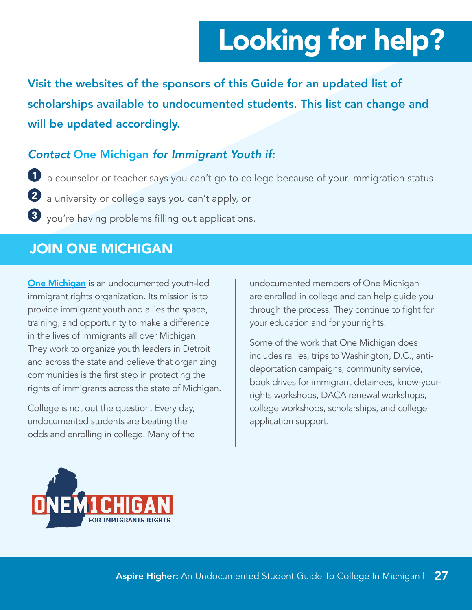# Looking for help?

<span id="page-27-0"></span>Visit the websites of the sponsors of this Guide for an updated list of scholarships available to undocumented students. This list can change and will be updated accordingly.

#### *Contact* [One Michigan](http://1michigan.org/) *for Immigrant Youth if:*

1 a counselor or teacher says you can't go to college because of your immigration status

2 a university or college says you can't apply, or

3 you're having problems filling out applications.

### JOIN ONE MICHIGAN

[One Michigan](http://1michigan.org/) is an undocumented youth-led immigrant rights organization. Its mission is to provide immigrant youth and allies the space, training, and opportunity to make a difference in the lives of immigrants all over Michigan. They work to organize youth leaders in Detroit and across the state and believe that organizing communities is the first step in protecting the rights of immigrants across the state of Michigan.

College is not out the question. Every day, undocumented students are beating the odds and enrolling in college. Many of the

undocumented members of One Michigan are enrolled in college and can help guide you through the process. They continue to fight for your education and for your rights.

Some of the work that One Michigan does includes rallies, trips to Washington, D.C., antideportation campaigns, community service, book drives for immigrant detainees, know-yourrights workshops, DACA renewal workshops, college workshops, scholarships, and college application support.